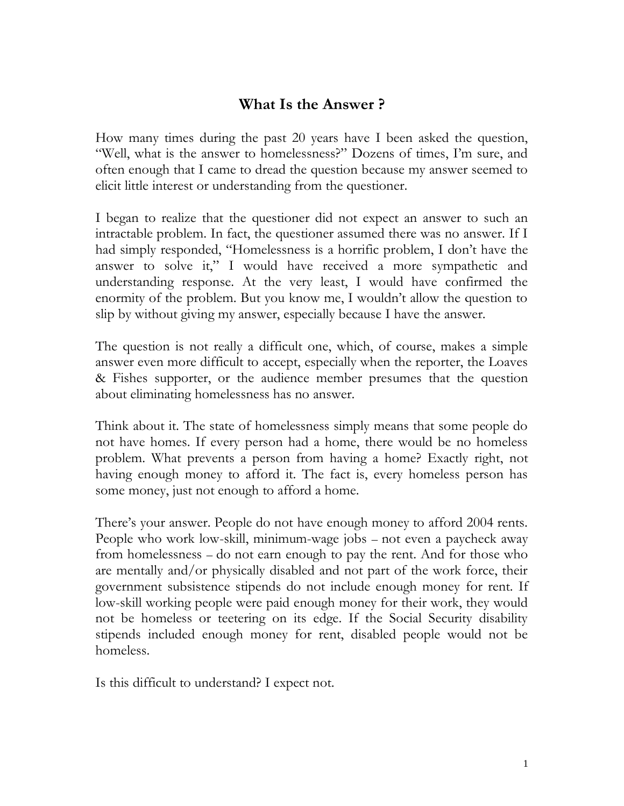## **What Is the Answer ?**

How many times during the past 20 years have I been asked the question, "Well, what is the answer to homelessness?" Dozens of times, I'm sure, and often enough that I came to dread the question because my answer seemed to elicit little interest or understanding from the questioner.

I began to realize that the questioner did not expect an answer to such an intractable problem. In fact, the questioner assumed there was no answer. If I had simply responded, "Homelessness is a horrific problem, I don't have the answer to solve it," I would have received a more sympathetic and understanding response. At the very least, I would have confirmed the enormity of the problem. But you know me, I wouldn't allow the question to slip by without giving my answer, especially because I have the answer.

The question is not really a difficult one, which, of course, makes a simple answer even more difficult to accept, especially when the reporter, the Loaves & Fishes supporter, or the audience member presumes that the question about eliminating homelessness has no answer.

Think about it. The state of homelessness simply means that some people do not have homes. If every person had a home, there would be no homeless problem. What prevents a person from having a home? Exactly right, not having enough money to afford it. The fact is, every homeless person has some money, just not enough to afford a home.

There's your answer. People do not have enough money to afford 2004 rents. People who work low-skill, minimum-wage jobs – not even a paycheck away from homelessness – do not earn enough to pay the rent. And for those who are mentally and/or physically disabled and not part of the work force, their government subsistence stipends do not include enough money for rent. If low-skill working people were paid enough money for their work, they would not be homeless or teetering on its edge. If the Social Security disability stipends included enough money for rent, disabled people would not be homeless.

Is this difficult to understand? I expect not.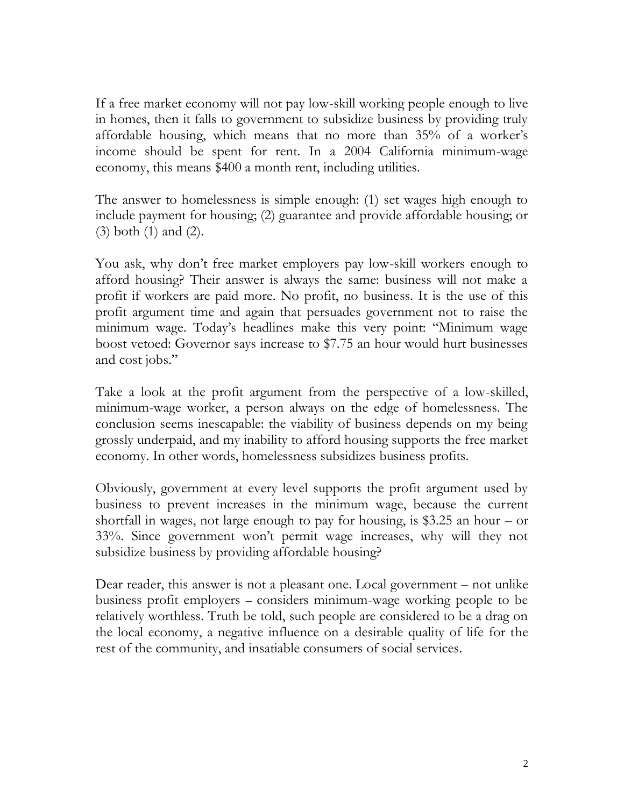If a free market economy will not pay low-skill working people enough to live in homes, then it falls to government to subsidize business by providing truly affordable housing, which means that no more than 35% of a worker's income should be spent for rent. In a 2004 California minimum-wage economy, this means \$400 a month rent, including utilities.

The answer to homelessness is simple enough: (1) set wages high enough to include payment for housing; (2) guarantee and provide affordable housing; or (3) both (1) and (2).

You ask, why don't free market employers pay low-skill workers enough to afford housing? Their answer is always the same: business will not make a profit if workers are paid more. No profit, no business. It is the use of this profit argument time and again that persuades government not to raise the minimum wage. Today's headlines make this very point: "Minimum wage boost vetoed: Governor says increase to \$7.75 an hour would hurt businesses and cost jobs."

Take a look at the profit argument from the perspective of a low-skilled, minimum-wage worker, a person always on the edge of homelessness. The conclusion seems inescapable: the viability of business depends on my being grossly underpaid, and my inability to afford housing supports the free market economy. In other words, homelessness subsidizes business profits.

Obviously, government at every level supports the profit argument used by business to prevent increases in the minimum wage, because the current shortfall in wages, not large enough to pay for housing, is \$3.25 an hour – or 33%. Since government won't permit wage increases, why will they not subsidize business by providing affordable housing?

Dear reader, this answer is not a pleasant one. Local government – not unlike business profit employers – considers minimum-wage working people to be relatively worthless. Truth be told, such people are considered to be a drag on the local economy, a negative influence on a desirable quality of life for the rest of the community, and insatiable consumers of social services.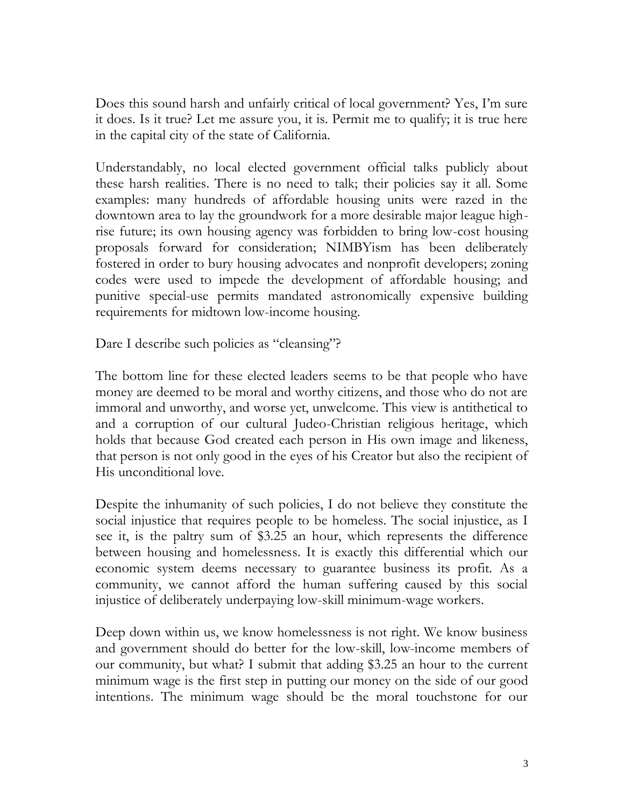Does this sound harsh and unfairly critical of local government? Yes, I'm sure it does. Is it true? Let me assure you, it is. Permit me to qualify; it is true here in the capital city of the state of California.

Understandably, no local elected government official talks publicly about these harsh realities. There is no need to talk; their policies say it all. Some examples: many hundreds of affordable housing units were razed in the downtown area to lay the groundwork for a more desirable major league highrise future; its own housing agency was forbidden to bring low-cost housing proposals forward for consideration; NIMBYism has been deliberately fostered in order to bury housing advocates and nonprofit developers; zoning codes were used to impede the development of affordable housing; and punitive special-use permits mandated astronomically expensive building requirements for midtown low-income housing.

Dare I describe such policies as "cleansing"?

The bottom line for these elected leaders seems to be that people who have money are deemed to be moral and worthy citizens, and those who do not are immoral and unworthy, and worse yet, unwelcome. This view is antithetical to and a corruption of our cultural Judeo-Christian religious heritage, which holds that because God created each person in His own image and likeness, that person is not only good in the eyes of his Creator but also the recipient of His unconditional love.

Despite the inhumanity of such policies, I do not believe they constitute the social injustice that requires people to be homeless. The social injustice, as I see it, is the paltry sum of \$3.25 an hour, which represents the difference between housing and homelessness. It is exactly this differential which our economic system deems necessary to guarantee business its profit. As a community, we cannot afford the human suffering caused by this social injustice of deliberately underpaying low-skill minimum-wage workers.

Deep down within us, we know homelessness is not right. We know business and government should do better for the low-skill, low-income members of our community, but what? I submit that adding \$3.25 an hour to the current minimum wage is the first step in putting our money on the side of our good intentions. The minimum wage should be the moral touchstone for our